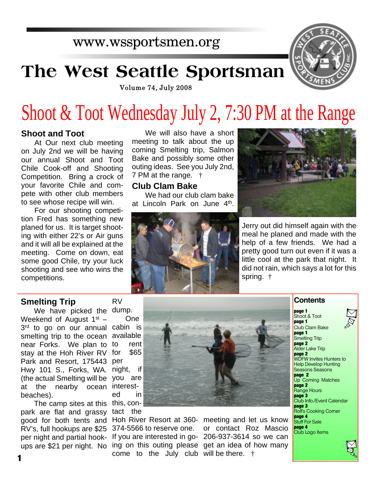## www.wssportsmen.org

# **The West Seattle Sportsman**



Volume 74, July 2008

# Shoot & Toot Wednesday July 2, 7:30 PM at the Range

#### **Shoot and Toot**

At Our next club meeting on July 2nd we will be having our annual Shoot and Toot Chile Cook-off and Shooting Competition. Bring a crock of your favorite Chile and compete with other club members to see whose recipe will win.

For our shooting competition Fred has something new planed for us. It is target shooting with either 22's or Air guns and it will all be explained at the meeting. Come on down, eat some good Chile, try your luck shooting and see who wins the competitions.

#### We will also have a short meeting to talk about the up coming Smelting trip, Salmon Bake and possibly some other outing ideas. See you July 2nd, 7 PM at the range. †

#### **Club Clam Bake**

We had our club clam bake at Lincoln Park on June 4<sup>th</sup>.





Jerry out did himself again with the meal he planed and made with the help of a few friends. We had a pretty good turn out even if it was a little cool at the park that night. It did not rain, which says a lot for this spring. †

#### **Smelting Trip**

We have picked the dump. Weekend of August  $1<sup>st</sup>$  – 3 rd to go on our annual cabin is smelting trip to the ocean available near Forks. We plan to stay at the Hoh River RV for \$65 Park and Resort, 175443 per Hwy 101 S., Forks, WA. night, if (the actual Smelting will be you are at the nearby ocean interestbeaches).

The camp sites at this this, conpark are flat and grassy good for both tents and Hoh River Resort at 360- meeting and let us know RV's, full hookups are \$25 374-5566 to reserve one. per night and partial hook-

RV

One rent ed in tact the

come to the July club will be there. †

ups are \$21 per night. No ing on this outing please get an idea of how many If you are interested in go-206-937-3614 so we can or contact Roz Mascio



**1**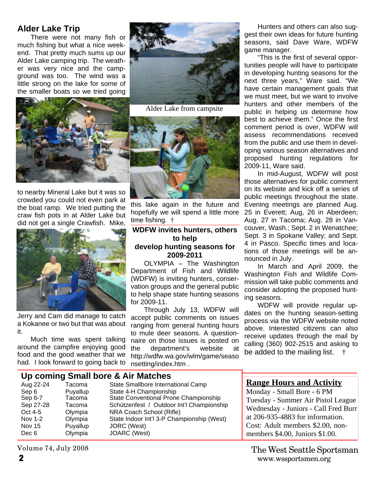### **Alder Lake Trip**

There were not many fish or much fishing but what a nice weekend. That pretty much sums up our Alder Lake camping trip. The weather was very nice and the campground was too. The wind was a little strong on the lake for some of the smaller boats so we tried going



to nearby Mineral Lake but it was so crowded you could not even park at the boat ramp. We tried putting the craw fish pots in at Alder Lake but did not get a single Crawfish. Mike,



Jerry and Cam did manage to catch a Kokanee or two but that was about it.

Much time was spent talking around the campfire enjoying good food and the good weather that we had. I look forward to going back to



Alder Lake from campsite



this lake again in the future and hopefully we will spend a little more time fishing. †

#### **WDFW invites hunters, others to help develop hunting seasons for 2009-2011**

OLYMPIA – The Washington Department of Fish and Wildlife (WDFW) is inviting hunters, conservation groups and the general public to help shape state hunting seasons for 2009-11.

Through July 13, WDFW will accept public comments on issues ranging from general hunting hours to mule deer seasons. A questionnaire on those issues is posted on the department's website at http://wdfw.wa.gov/wlm/game/seaso nsetting/index.htm .

Hunters and others can also suggest their own ideas for future hunting seasons, said Dave Ware, WDFW game manager.

"This is the first of several opportunities people will have to participate in developing hunting seasons for the next three years," Ware said. "We have certain management goals that we must meet, but we want to involve hunters and other members of the public in helping us determine how best to achieve them." Once the first comment period is over, WDFW will assess recommendations received from the public and use them in developing various season alternatives and proposed hunting regulations for 2009-11, Ware said.

In mid-August, WDFW will post those alternatives for public comment on its website and kick off a series of public meetings throughout the state. Evening meetings are planned Aug. 25 in Everett; Aug, 26 in Aberdeen; Aug. 27 in Tacoma; Aug. 28 in Vancouver, Wash.; Sept. 2 in Wenatchee; Sept. 3 in Spokane Valley; and Sept. 4 in Pasco. Specific times and locations of those meetings will be announced in July.

In March and April 2009, the Washington Fish and Wildlife Commission will take public comments and consider adopting the proposed hunting seasons.

WDFW will provide regular updates on the hunting season-setting process via the WDFW website noted above. Interested citizens can also receive updates through the mail by calling (360) 902-2515 and asking to be added to the mailing list.

| Aug 22-24<br>Sep 6                         | Tacoma<br>Puyallup                     | Up coming Small bore & Air Matches<br>State Smallbore International Camp<br>State 4-H Championship                                                           | <b>Range Hours and Activity</b><br>Monday - Small Bore - 6 PM                                                  |
|--------------------------------------------|----------------------------------------|--------------------------------------------------------------------------------------------------------------------------------------------------------------|----------------------------------------------------------------------------------------------------------------|
| Sep 6-7<br>Sep 27-28<br>Oct 4-5<br>Nov 1-2 | Tacoma<br>Tacoma<br>Olympia<br>Olympia | State Conventional Prone Championship<br>Schützenfest / Outdoor Int'l Championship<br>NRA Coach School (Rifle)<br>State Indoor Int'l 3-P Championship (West) | Tuesday - Summer Air Pistol League<br>Wednesday - Juniors - Call Fred Burr<br>at 206-935-4883 for information. |
| Nov 15<br>Dec 6                            | Puyallup<br>Olympia                    | JORC (West)<br>JOARC (West)                                                                                                                                  | Cost: Adult members \$2.00, non-<br>members \$4.00, Juniors \$1.00.                                            |

Volume 74, July 2008

**2** www.wssportsmen.org The West Seattle Sportsman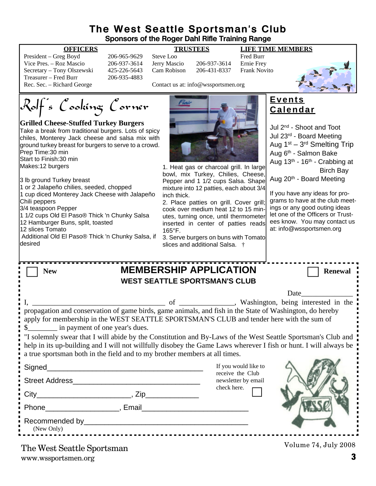#### **The West Seattle Sportsman's Club Sponsors of the Roger Dahl Rifle Training Range**

| President – Greg Boyd      | 206-965-9629 | Steve Loo    |                                     | <b>Fred Burr</b> |
|----------------------------|--------------|--------------|-------------------------------------|------------------|
| Vice Pres. – Roz Mascio    | 206-937-3614 | Jerry Mascio | 206-937-3614                        | Ernie Fre        |
| Secretary – Tony Olszewski | 425-226-5643 | Cam Robison  | 206-431-8337                        | Frank No         |
| Treasurer – Fred Burr      | 206-935-4883 |              |                                     |                  |
| Rec. Sec. – Richard George |              |              | Contact us at: info@wssportsmen.org |                  |

06-937-3614 Jerry Mascio 206-937-3614 Ernie Frey 25-226-5643 Cam Robison 206-431-8337 Frank Novito 06-935-4883

**OFFICERS TRUSTEES LIFE TIME MEMBERS**



Contact us at: info@wssportsmen.org

Rolf's Cooking Corner

#### **Grilled Cheese-Stuffed Turkey Burgers**

Take a break from traditional burgers. Lots of spicy chiles, Monterey Jack cheese and salsa mix with ground turkey breast for burgers to serve to a crowd. Prep Time:30 min Start to Finish:30 min Makes:12 burgers

3 lb ground Turkey breast

1 or 2 Jalapeño chilies, seeded, chopped 1 cup diced Monterey Jack Cheese with Jalapeño Chili peppers

3/4 teaspoon Pepper

1 1/2 cups Old El Paso® Thick 'n Chunky Salsa 12 Hamburger Buns, split, toasted

12 slices Tomato

 Additional Old El Paso® Thick 'n Chunky Salsa, if desired



1. Heat gas or charcoal grill. In large bowl, mix Turkey, Chilies, Cheese, Pepper and 1 1/2 cups Salsa. Shape mixture into 12 patties, each about 3/4 inch thick.

2. Place patties on grill. Cover grill; cook over medium heat 12 to 15 minutes, turning once, until thermometer inserted in center of patties reads 165°F.

3. Serve burgers on buns with Tomato slices and additional Salsa. †

#### **Events Calendar**

Jul 2nd - Shoot and Toot Jul 23rd - Board Meeting Aug 1<sup>st</sup> – 3<sup>rd</sup> Smelting Trip Aug 6th - Salmon Bake Aug 13<sup>th</sup> - 16<sup>th</sup> - Crabbing at Birch Bay Aug 20th - Board Meeting

If you have any ideas for programs to have at the club meetings or any good outing ideas let one of the Officers or Trustees know. You may contact us at: info@wssportsmen.org

| <b>MEMBERSHIP APPLICATION</b><br><b>New</b>                                                                                                                                                                                                            |                                                        | <b>Renewal</b>                                                                                                                                                                                                                |  |  |  |  |  |
|--------------------------------------------------------------------------------------------------------------------------------------------------------------------------------------------------------------------------------------------------------|--------------------------------------------------------|-------------------------------------------------------------------------------------------------------------------------------------------------------------------------------------------------------------------------------|--|--|--|--|--|
| <b>WEST SEATTLE SPORTSMAN'S CLUB</b>                                                                                                                                                                                                                   |                                                        |                                                                                                                                                                                                                               |  |  |  |  |  |
|                                                                                                                                                                                                                                                        |                                                        | Date and the same state of the state of the state of the state of the state of the state of the state of the state of the state of the state of the state of the state of the state of the state of the state of the state of |  |  |  |  |  |
|                                                                                                                                                                                                                                                        |                                                        |                                                                                                                                                                                                                               |  |  |  |  |  |
| propagation and conservation of game birds, game animals, and fish in the State of Washington, do hereby<br>apply for membership in the WEST SEATTLE SPORTSMAN'S CLUB and tender here with the sum of<br>\$____________ in payment of one year's dues. |                                                        |                                                                                                                                                                                                                               |  |  |  |  |  |
| "I solemnly swear that I will abide by the Constitution and By-Laws of the West Seattle Sportsman's Club and                                                                                                                                           |                                                        |                                                                                                                                                                                                                               |  |  |  |  |  |
| help in its up-building and I will not willfully disobey the Game Laws wherever I fish or hunt. I will always be                                                                                                                                       |                                                        |                                                                                                                                                                                                                               |  |  |  |  |  |
| a true sportsman both in the field and to my brother members at all times.                                                                                                                                                                             |                                                        |                                                                                                                                                                                                                               |  |  |  |  |  |
|                                                                                                                                                                                                                                                        | If you would like to                                   |                                                                                                                                                                                                                               |  |  |  |  |  |
|                                                                                                                                                                                                                                                        | receive the Club<br>newsletter by email<br>check here. |                                                                                                                                                                                                                               |  |  |  |  |  |
|                                                                                                                                                                                                                                                        |                                                        |                                                                                                                                                                                                                               |  |  |  |  |  |
| Phone Reserves and Phone Reserves and Phone Reserves and Phone Reserves and Phone Reserves and Phone Reserves                                                                                                                                          |                                                        |                                                                                                                                                                                                                               |  |  |  |  |  |
| (New Only)                                                                                                                                                                                                                                             |                                                        |                                                                                                                                                                                                                               |  |  |  |  |  |
| The West Soattle Sportsman                                                                                                                                                                                                                             |                                                        | Volume 74, July 2008                                                                                                                                                                                                          |  |  |  |  |  |

www.wssportsmen.org **3** The West Seattle Sportsman